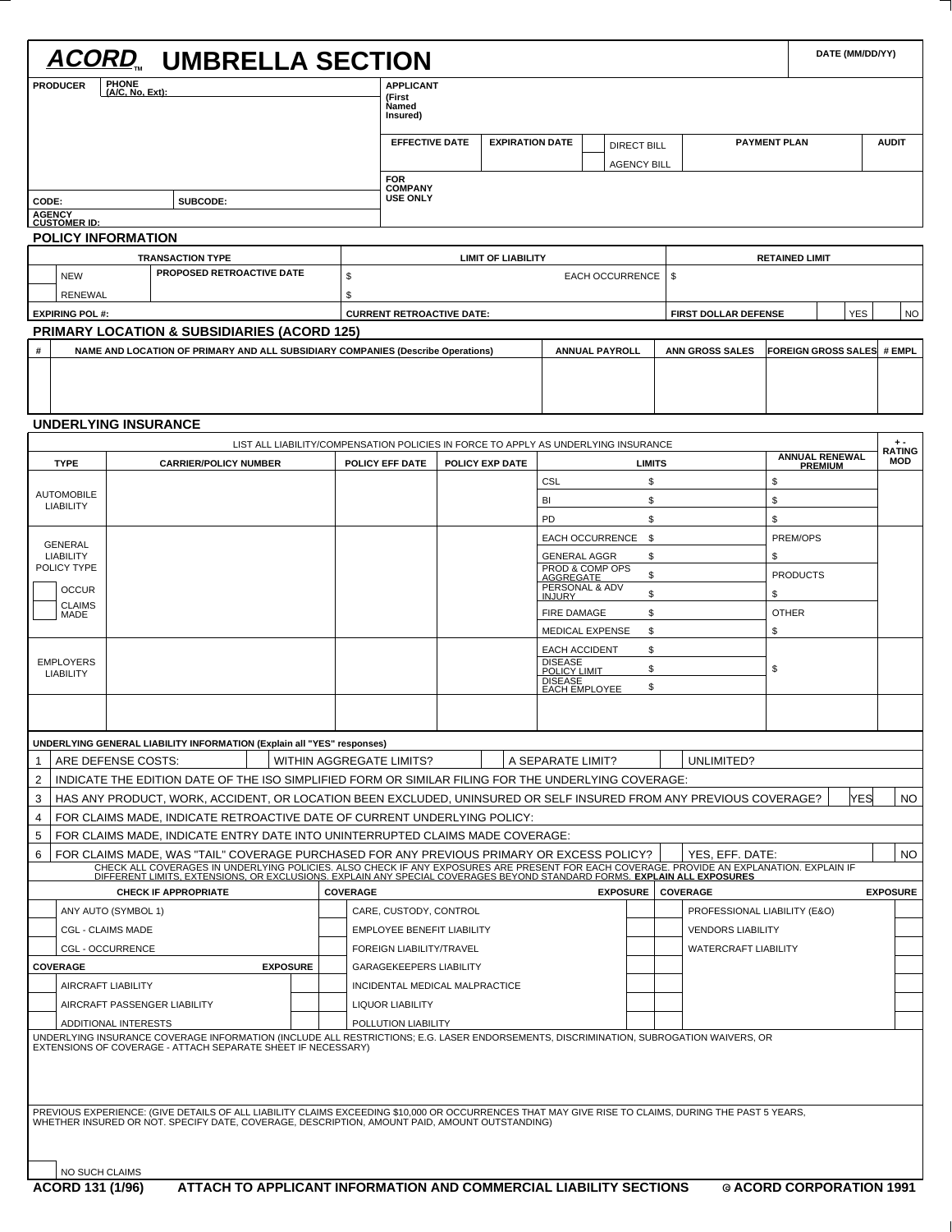| <b>ACORD. UMBRELLA SECTION</b>                                                                                                                                                                                                    |                                   |                                                                                    |  |                                        |                    |                       |                              |                             |                       |                                   |            |                       | DATE (MM/DD/YY) |  |  |  |
|-----------------------------------------------------------------------------------------------------------------------------------------------------------------------------------------------------------------------------------|-----------------------------------|------------------------------------------------------------------------------------|--|----------------------------------------|--------------------|-----------------------|------------------------------|-----------------------------|-----------------------|-----------------------------------|------------|-----------------------|-----------------|--|--|--|
| <b>PHONE</b><br><b>PRODUCER</b>                                                                                                                                                                                                   |                                   | <b>APPLICANT</b>                                                                   |  |                                        |                    |                       |                              |                             |                       |                                   |            |                       |                 |  |  |  |
| (A/C, No, Ext):                                                                                                                                                                                                                   | Named                             | (First                                                                             |  |                                        |                    |                       |                              |                             |                       |                                   |            |                       |                 |  |  |  |
|                                                                                                                                                                                                                                   |                                   | Insured)                                                                           |  |                                        |                    |                       |                              |                             |                       |                                   |            |                       |                 |  |  |  |
|                                                                                                                                                                                                                                   |                                   | <b>EFFECTIVE DATE</b><br><b>EXPIRATION DATE</b>                                    |  |                                        | <b>DIRECT BILL</b> |                       |                              | <b>PAYMENT PLAN</b>         |                       |                                   |            | <b>AUDIT</b>          |                 |  |  |  |
|                                                                                                                                                                                                                                   |                                   |                                                                                    |  |                                        |                    | <b>AGENCY BILL</b>    |                              |                             |                       |                                   |            |                       |                 |  |  |  |
|                                                                                                                                                                                                                                   | <b>COMPANY</b>                    | <b>FOR</b>                                                                         |  |                                        |                    |                       |                              |                             |                       |                                   |            |                       |                 |  |  |  |
| SUBCODE:<br>CODE:<br><b>AGENCY</b>                                                                                                                                                                                                | <b>USE ONLY</b>                   |                                                                                    |  |                                        |                    |                       |                              |                             |                       |                                   |            |                       |                 |  |  |  |
| <b>CUSTOMER ID:</b>                                                                                                                                                                                                               |                                   |                                                                                    |  |                                        |                    |                       |                              |                             |                       |                                   |            |                       |                 |  |  |  |
| <b>POLICY INFORMATION</b>                                                                                                                                                                                                         |                                   |                                                                                    |  |                                        |                    |                       |                              |                             |                       |                                   |            |                       |                 |  |  |  |
| <b>TRANSACTION TYPE</b><br>PROPOSED RETROACTIVE DATE                                                                                                                                                                              | \$                                | <b>LIMIT OF LIABILITY</b>                                                          |  |                                        |                    |                       |                              |                             |                       |                                   |            | <b>RETAINED LIMIT</b> |                 |  |  |  |
| <b>NEW</b><br>RENEWAL                                                                                                                                                                                                             | \$                                | <b>EACH OCCURRENCE</b><br>-\$                                                      |  |                                        |                    |                       |                              |                             |                       |                                   |            |                       |                 |  |  |  |
| <b>EXPIRING POL#:</b>                                                                                                                                                                                                             | <b>CURRENT RETROACTIVE DATE:</b>  |                                                                                    |  |                                        |                    |                       |                              | <b>FIRST DOLLAR DEFENSE</b> |                       | <b>YES</b>                        |            |                       | <b>NO</b>       |  |  |  |
| <b>PRIMARY LOCATION &amp; SUBSIDIARIES (ACORD 125)</b>                                                                                                                                                                            |                                   |                                                                                    |  |                                        |                    |                       |                              |                             |                       |                                   |            |                       |                 |  |  |  |
| #<br>NAME AND LOCATION OF PRIMARY AND ALL SUBSIDIARY COMPANIES (Describe Operations)                                                                                                                                              |                                   |                                                                                    |  |                                        |                    | <b>ANNUAL PAYROLL</b> |                              | <b>ANN GROSS SALES</b>      |                       | <b>FOREIGN GROSS SALES # EMPL</b> |            |                       |                 |  |  |  |
|                                                                                                                                                                                                                                   |                                   |                                                                                    |  |                                        |                    |                       |                              |                             |                       |                                   |            |                       |                 |  |  |  |
|                                                                                                                                                                                                                                   |                                   |                                                                                    |  |                                        |                    |                       |                              |                             |                       |                                   |            |                       |                 |  |  |  |
|                                                                                                                                                                                                                                   |                                   |                                                                                    |  |                                        |                    |                       |                              |                             |                       |                                   |            |                       |                 |  |  |  |
| <b>UNDERLYING INSURANCE</b>                                                                                                                                                                                                       |                                   |                                                                                    |  |                                        |                    |                       |                              |                             |                       |                                   |            |                       |                 |  |  |  |
|                                                                                                                                                                                                                                   |                                   | LIST ALL LIABILITY/COMPENSATION POLICIES IN FORCE TO APPLY AS UNDERLYING INSURANCE |  |                                        |                    |                       |                              |                             | <b>ANNUAL RENEWAL</b> |                                   |            |                       |                 |  |  |  |
| <b>TYPE</b><br><b>CARRIER/POLICY NUMBER</b>                                                                                                                                                                                       | POLICY EFF DATE                   | POLICY EXP DATE                                                                    |  |                                        |                    | <b>LIMITS</b>         |                              |                             |                       | <b>PREMIUM</b>                    |            |                       | <b>MOD</b>      |  |  |  |
| <b>AUTOMOBILE</b>                                                                                                                                                                                                                 |                                   |                                                                                    |  |                                        |                    | \$                    |                              |                             | \$                    |                                   |            |                       |                 |  |  |  |
| <b>LIABILITY</b>                                                                                                                                                                                                                  |                                   |                                                                                    |  | BI<br>PD                               |                    | \$<br>\$              |                              |                             | \$<br>\$              |                                   |            |                       |                 |  |  |  |
|                                                                                                                                                                                                                                   |                                   |                                                                                    |  | <b>EACH OCCURRENCE</b>                 |                    | \$                    |                              |                             |                       | PREM/OPS                          |            |                       |                 |  |  |  |
| GENERAL<br><b>LIABILITY</b>                                                                                                                                                                                                       |                                   | <b>GENERAL AGGR</b><br>\$                                                          |  |                                        |                    |                       | \$                           |                             |                       |                                   |            |                       |                 |  |  |  |
| POLICY TYPE                                                                                                                                                                                                                       |                                   | PROD & COMP OPS<br>\$<br>AGGREGATE                                                 |  |                                        |                    |                       |                              | <b>PRODUCTS</b>             |                       |                                   |            |                       |                 |  |  |  |
| <b>OCCUR</b>                                                                                                                                                                                                                      |                                   | PERSONAL & ADV<br>\$<br><b>INJURY</b>                                              |  |                                        |                    |                       | \$                           |                             |                       |                                   |            |                       |                 |  |  |  |
| <b>CLAIMS</b><br>MADE                                                                                                                                                                                                             |                                   | \$<br><b>FIRE DAMAGE</b>                                                           |  |                                        |                    |                       | <b>OTHER</b>                 |                             |                       |                                   |            |                       |                 |  |  |  |
|                                                                                                                                                                                                                                   |                                   | \$<br><b>MEDICAL EXPENSE</b>                                                       |  |                                        |                    |                       | \$                           |                             |                       |                                   |            |                       |                 |  |  |  |
| <b>EMPLOYERS</b>                                                                                                                                                                                                                  |                                   |                                                                                    |  | <b>EACH ACCIDENT</b><br><b>DISEASE</b> |                    | \$                    |                              |                             |                       |                                   |            |                       |                 |  |  |  |
| <b>LIABILITY</b>                                                                                                                                                                                                                  |                                   |                                                                                    |  | <b>POLICY LIMIT</b><br><b>DISEASE</b>  |                    | \$                    |                              |                             | \$                    |                                   |            |                       |                 |  |  |  |
|                                                                                                                                                                                                                                   |                                   |                                                                                    |  | <b>EACH EMPLOYEE</b>                   |                    | \$                    |                              |                             |                       |                                   |            |                       |                 |  |  |  |
|                                                                                                                                                                                                                                   |                                   |                                                                                    |  |                                        |                    |                       |                              |                             |                       |                                   |            |                       |                 |  |  |  |
| UNDERLYING GENERAL LIABILITY INFORMATION (Explain all "YES" responses)                                                                                                                                                            |                                   |                                                                                    |  |                                        |                    |                       |                              |                             |                       |                                   |            |                       |                 |  |  |  |
| ARE DEFENSE COSTS:<br>1                                                                                                                                                                                                           | WITHIN AGGREGATE LIMITS?          |                                                                                    |  | A SEPARATE LIMIT?                      |                    |                       |                              | UNLIMITED?                  |                       |                                   |            |                       |                 |  |  |  |
| 2<br>INDICATE THE EDITION DATE OF THE ISO SIMPLIFIED FORM OR SIMILAR FILING FOR THE UNDERLYING COVERAGE:                                                                                                                          |                                   |                                                                                    |  |                                        |                    |                       |                              |                             |                       |                                   |            |                       |                 |  |  |  |
| HAS ANY PRODUCT, WORK, ACCIDENT, OR LOCATION BEEN EXCLUDED, UNINSURED OR SELF INSURED FROM ANY PREVIOUS COVERAGE?<br>3                                                                                                            |                                   |                                                                                    |  |                                        |                    |                       |                              |                             |                       |                                   | <b>YES</b> |                       | <b>NO</b>       |  |  |  |
| FOR CLAIMS MADE, INDICATE RETROACTIVE DATE OF CURRENT UNDERLYING POLICY:<br>4                                                                                                                                                     |                                   |                                                                                    |  |                                        |                    |                       |                              |                             |                       |                                   |            |                       |                 |  |  |  |
| FOR CLAIMS MADE, INDICATE ENTRY DATE INTO UNINTERRUPTED CLAIMS MADE COVERAGE:<br>5                                                                                                                                                |                                   |                                                                                    |  |                                        |                    |                       |                              |                             |                       |                                   |            |                       |                 |  |  |  |
| FOR CLAIMS MADE, WAS "TAIL" COVERAGE PURCHASED FOR ANY PREVIOUS PRIMARY OR EXCESS POLICY?<br>6                                                                                                                                    |                                   |                                                                                    |  |                                        |                    |                       |                              | YES, EFF. DATE:             |                       |                                   |            |                       | NO.             |  |  |  |
| CHECK ALL COVERAGES IN UNDERLYING POLICIES. ALSO CHECK IF ANY EXPOSURES ARE PRESENT FOR EACH COVERAGE. PROVIDE AN EXPLANATION. EXPLAIN IF<br>DIFFERENT LIMITS, EXTENSIONS, OR EXCLUSIONS. EXPLAIN ANY SPECIAL COVERAGES BEYOND ST |                                   |                                                                                    |  |                                        |                    |                       |                              |                             |                       |                                   |            |                       |                 |  |  |  |
| <b>CHECK IF APPROPRIATE</b>                                                                                                                                                                                                       | <b>COVERAGE</b>                   |                                                                                    |  |                                        |                    | <b>EXPOSURE</b>       |                              | <b>COVERAGE</b>             |                       |                                   |            | <b>EXPOSURE</b>       |                 |  |  |  |
| ANY AUTO (SYMBOL 1)                                                                                                                                                                                                               | CARE, CUSTODY, CONTROL            |                                                                                    |  |                                        |                    |                       | PROFESSIONAL LIABILITY (E&O) |                             |                       |                                   |            |                       |                 |  |  |  |
| <b>CGL - CLAIMS MADE</b>                                                                                                                                                                                                          | <b>EMPLOYEE BENEFIT LIABILITY</b> |                                                                                    |  |                                        |                    |                       |                              | <b>VENDORS LIABILITY</b>    |                       |                                   |            |                       |                 |  |  |  |
| <b>CGL - OCCURRENCE</b><br><b>COVERAGE</b><br><b>EXPOSURE</b>                                                                                                                                                                     |                                   | FOREIGN LIABILITY/TRAVEL<br><b>GARAGEKEEPERS LIABILITY</b>                         |  |                                        |                    |                       |                              | <b>WATERCRAFT LIABILITY</b> |                       |                                   |            |                       |                 |  |  |  |
| <b>AIRCRAFT LIABILITY</b>                                                                                                                                                                                                         |                                   | INCIDENTAL MEDICAL MALPRACTICE                                                     |  |                                        |                    |                       |                              |                             |                       |                                   |            |                       |                 |  |  |  |
| AIRCRAFT PASSENGER LIABILITY                                                                                                                                                                                                      | <b>LIQUOR LIABILITY</b>           |                                                                                    |  |                                        |                    |                       |                              |                             |                       |                                   |            |                       |                 |  |  |  |
| ADDITIONAL INTERESTS                                                                                                                                                                                                              | POLLUTION LIABILITY               |                                                                                    |  |                                        |                    |                       |                              |                             |                       |                                   |            |                       |                 |  |  |  |
| UNDERLYING INSURANCE COVERAGE INFORMATION (INCLUDE ALL RESTRICTIONS; E.G. LASER ENDORSEMENTS, DISCRIMINATION, SUBROGATION WAIVERS, OR<br>EXTENSIONS OF COVERAGE - ATTACH SEPARATE SHEET IF NECESSARY)                             |                                   |                                                                                    |  |                                        |                    |                       |                              |                             |                       |                                   |            |                       |                 |  |  |  |
| PREVIOUS EXPERIENCE: (GIVE DETAILS OF ALL LIABILITY CLAIMS EXCEEDING \$10,000 OR OCCURRENCES THAT MAY GIVE RISE TO CLAIMS, DURING THE PAST 5 YEARS,                                                                               |                                   |                                                                                    |  |                                        |                    |                       |                              |                             |                       |                                   |            |                       |                 |  |  |  |
| WHETHER INSURED OR NOT. SPECIFY DATE, COVERAGE, DESCRIPTION, AMOUNT PAID, AMOUNT OUTSTANDING)                                                                                                                                     |                                   |                                                                                    |  |                                        |                    |                       |                              |                             |                       |                                   |            |                       |                 |  |  |  |
| NO SUCH CLAIMS<br>ATTACH TO APPLICANT INFORMATION AND COMMERCIAL LIABILITY SECTIONS<br>ACORD 131 (1/96)                                                                                                                           |                                   |                                                                                    |  |                                        |                    |                       |                              |                             |                       | © ACORD CORPORATION 1991          |            |                       |                 |  |  |  |